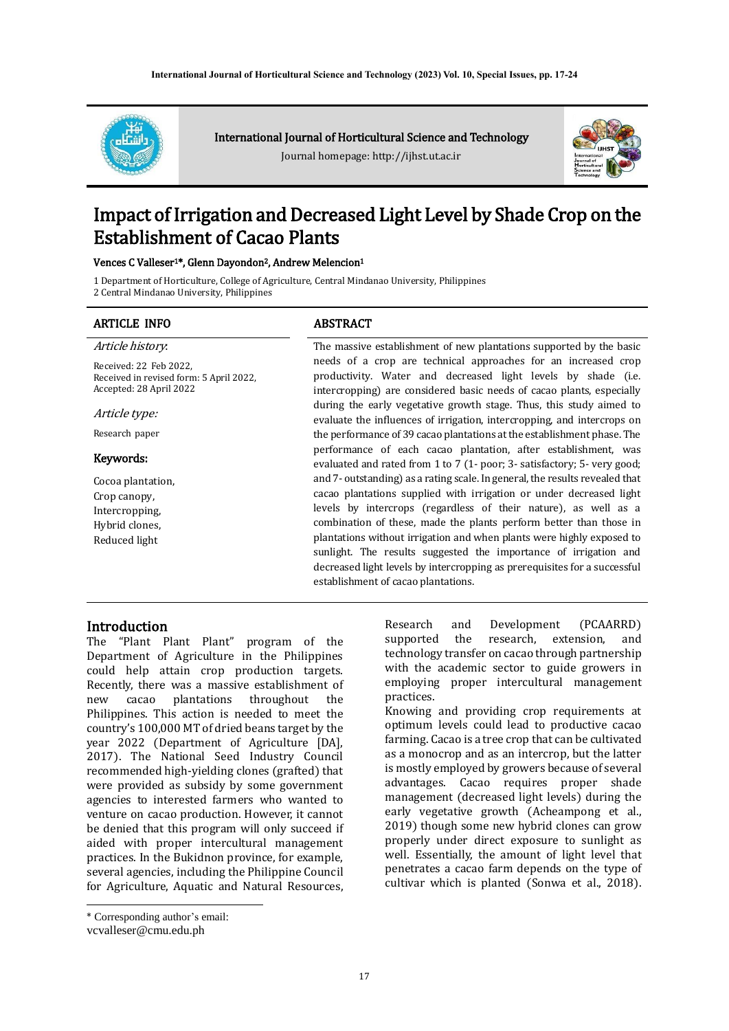

International Journal of Horticultural Science and Technology

Journal homepage: http://ijhst.ut.ac.ir



# Impact of Irrigation and Decreased Light Level by Shade Crop on the Establishment of Cacao Plants

#### Vences C Valleser1\*, Glenn Dayondon2, Andrew Melencion<sup>1</sup>

1 Department of Horticulture, College of Agriculture, Central Mindanao University, Philippines

2 Central Mindanao University, Philippines

# ARTICLE INFO ABSTRACT Article history:

Received: 22 Feb 2022, Received in revised form: 5 April 2022, Accepted: 28 April 2022

Article type:

Research paper

#### Keywords:

Cocoa plantation, Crop canopy, Intercropping, Hybrid clones, Reduced light

The massive establishment of new plantations supported by the basic needs of a crop are technical approaches for an increased crop productivity. Water and decreased light levels by shade (i.e. intercropping) are considered basic needs of cacao plants, especially during the early vegetative growth stage. Thus, this study aimed to evaluate the influences of irrigation, intercropping, and intercrops on the performance of 39 cacao plantations at the establishment phase. The performance of each cacao plantation, after establishment, was evaluated and rated from 1 to 7 (1- poor; 3- satisfactory; 5- very good; and 7- outstanding) as a rating scale. In general, the results revealed that cacao plantations supplied with irrigation or under decreased light levels by intercrops (regardless of their nature), as well as a combination of these, made the plants perform better than those in plantations without irrigation and when plants were highly exposed to sunlight. The results suggested the importance of irrigation and decreased light levels by intercropping as prerequisites for a successful establishment of cacao plantations.

#### **Introduction**

The "Plant Plant Plant" program of the Department of Agriculture in the Philippines could help attain crop production targets. Recently, there was a massive establishment of new cacao plantations throughout the Philippines. This action is needed to meet the country's 100,000 MT of dried beans target by the year 2022 (Department of Agriculture [DA], 2017). The National Seed Industry Council recommended high-yielding clones (grafted) that were provided as subsidy by some government agencies to interested farmers who wanted to venture on cacao production. However, it cannot be denied that this program will only succeed if aided with proper intercultural management practices. In the Bukidnon province, for example, several agencies, including the Philippine Council for Agriculture, Aquatic and Natural Resources,

optimum levels could lead to productive cacao farming. Cacao is a tree crop that can be cultivated as a monocrop and as an intercrop, but the latter is mostly employed by growers because of several advantages. Cacao requires proper shade management (decreased light levels) during the early vegetative growth (Acheampong et al., 2019) though some new hybrid clones can grow properly under direct exposure to sunlight as well. Essentially, the amount of light level that penetrates a cacao farm depends on the type of cultivar which is planted (Sonwa et al., 2018).

Research and Development (PCAARRD) supported the research, extension, and technology transfer on cacao through partnership with the academic sector to guide growers in employing proper intercultural management practices. Knowing and providing crop requirements at

<sup>\*</sup> Corresponding author's email:

vcvalleser@cmu.edu.ph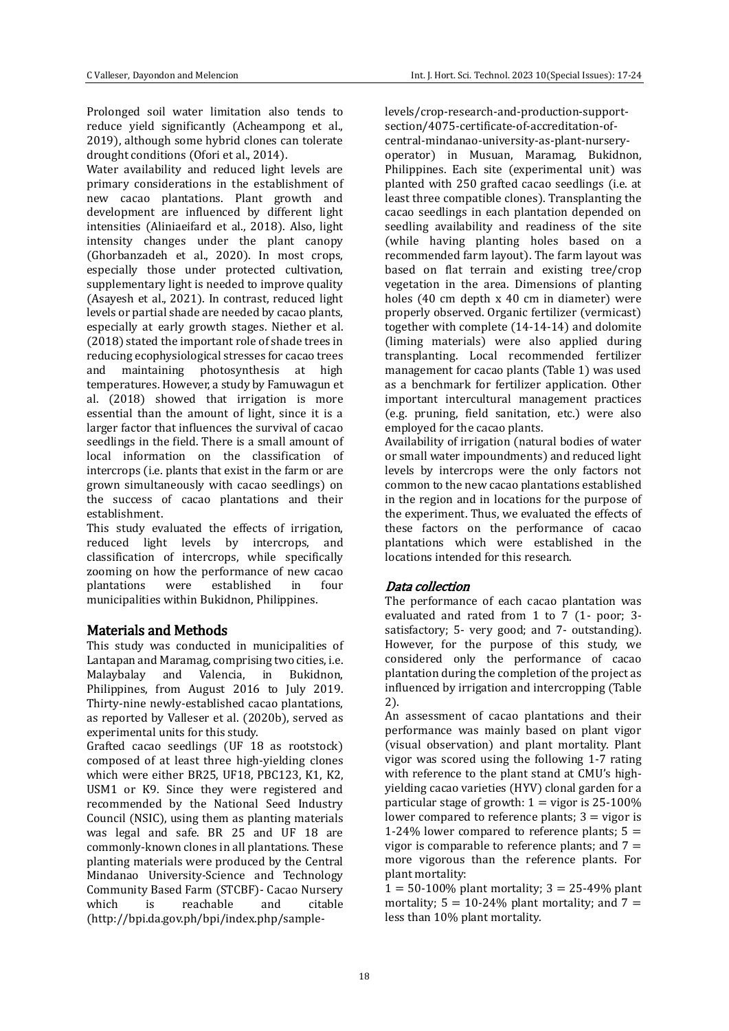Prolonged soil water limitation also tends to reduce yield significantly (Acheampong et al., 2019), although some hybrid clones can tolerate drought conditions (Ofori et al., 2014).

Water availability and reduced light levels are primary considerations in the establishment of new cacao plantations. Plant growth and development are influenced by different light intensities (Aliniaeifard et al., 2018). Also, light intensity changes under the plant canopy (Ghorbanzadeh et al., 2020). In most crops, especially those under protected cultivation, supplementary light is needed to improve quality (Asayesh et al., 2021). In contrast, reduced light levels or partial shade are needed by cacao plants, especially at early growth stages. Niether et al. (2018) stated the important role of shade trees in reducing ecophysiological stresses for cacao trees and maintaining photosynthesis at high temperatures. However, a study by Famuwagun et al. (2018) showed that irrigation is more essential than the amount of light, since it is a larger factor that influences the survival of cacao seedlings in the field. There is a small amount of local information on the classification of intercrops (i.e. plants that exist in the farm or are grown simultaneously with cacao seedlings) on the success of cacao plantations and their establishment.

This study evaluated the effects of irrigation, reduced light levels by intercrops, and classification of intercrops, while specifically zooming on how the performance of new cacao plantations were established in four municipalities within Bukidnon, Philippines.

### Materials and Methods

This study was conducted in municipalities of Lantapan and Maramag, comprising two cities, i.e. Malaybalay and Valencia, in Bukidnon, Philippines, from August 2016 to July 2019. Thirty-nine newly-established cacao plantations, as reported by Valleser et al. (2020b), served as experimental units for this study.

Grafted cacao seedlings (UF 18 as rootstock) composed of at least three high-yielding clones which were either BR25, UF18, PBC123, K1, K2, USM1 or K9. Since they were registered and recommended by the National Seed Industry Council (NSIC), using them as planting materials was legal and safe. BR 25 and UF 18 are commonly-known clones in all plantations. These planting materials were produced by the Central Mindanao University-Science and Technology Community Based Farm (STCBF)- Cacao Nursery which is reachable and citable (http://bpi.da.gov.ph/bpi/index.php/samplelevels/crop-research-and-production-supportsection/4075-certificate-of-accreditation-ofcentral-mindanao-university-as-plant-nurseryoperator) in Musuan, Maramag, Bukidnon, Philippines. Each site (experimental unit) was planted with 250 grafted cacao seedlings (i.e. at least three compatible clones). Transplanting the cacao seedlings in each plantation depended on seedling availability and readiness of the site (while having planting holes based on a recommended farm layout). The farm layout was based on flat terrain and existing tree/crop vegetation in the area. Dimensions of planting holes (40 cm depth x 40 cm in diameter) were properly observed. Organic fertilizer (vermicast) together with complete (14-14-14) and dolomite (liming materials) were also applied during transplanting. Local recommended fertilizer management for cacao plants (Table 1) was used as a benchmark for fertilizer application. Other important intercultural management practices (e.g. pruning, field sanitation, etc.) were also employed for the cacao plants.

Availability of irrigation (natural bodies of water or small water impoundments) and reduced light levels by intercrops were the only factors not common to the new cacao plantations established in the region and in locations for the purpose of the experiment. Thus, we evaluated the effects of these factors on the performance of cacao plantations which were established in the locations intended for this research.

### Data collection

The performance of each cacao plantation was evaluated and rated from 1 to 7 (1- poor; 3 satisfactory; 5- very good; and 7- outstanding). However, for the purpose of this study, we considered only the performance of cacao plantation during the completion of the project as influenced by irrigation and intercropping (Table 2).

An assessment of cacao plantations and their performance was mainly based on plant vigor (visual observation) and plant mortality. Plant vigor was scored using the following 1-7 rating with reference to the plant stand at CMU's highyielding cacao varieties (HYV) clonal garden for a particular stage of growth:  $1 =$  vigor is 25-100% lower compared to reference plants;  $3 =$  vigor is 1-24% lower compared to reference plants;  $5 =$ vigor is comparable to reference plants; and  $7 =$ more vigorous than the reference plants. For plant mortality:

 $1 = 50 - 100\%$  plant mortality;  $3 = 25 - 49\%$  plant mortality;  $5 = 10-24\%$  plant mortality; and  $7 =$ less than 10% plant mortality.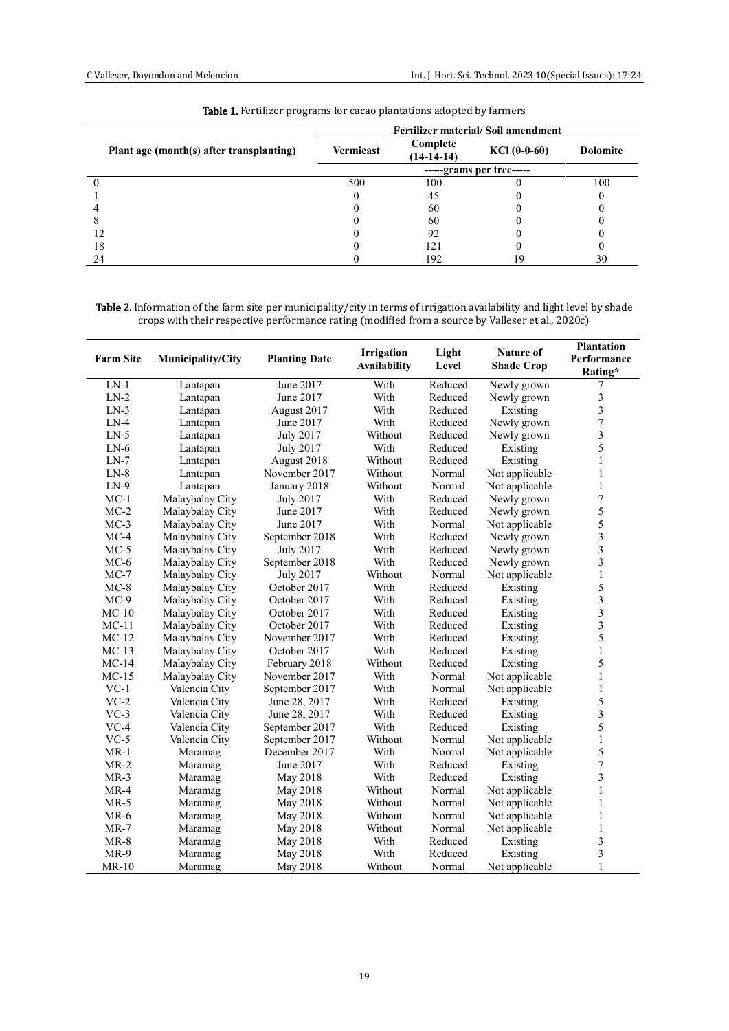|                                          | <b>Fertilizer material/Soil amendment</b> |                          |                |                 |  |  |
|------------------------------------------|-------------------------------------------|--------------------------|----------------|-----------------|--|--|
| Plant age (month(s) after transplanting) | <b>Vermicast</b>                          | Complete<br>$(14-14-14)$ | $KCl$ (0-0-60) | <b>Dolomite</b> |  |  |
|                                          | -----grams per tree-----                  |                          |                |                 |  |  |
|                                          | 500                                       | 100                      |                | 100             |  |  |
|                                          |                                           | 45                       |                |                 |  |  |
|                                          |                                           | 60                       |                |                 |  |  |
|                                          |                                           | 60                       |                |                 |  |  |
|                                          |                                           | 92                       |                |                 |  |  |
| 18                                       |                                           | 12                       |                |                 |  |  |
| 24                                       |                                           | 192                      |                | 30              |  |  |

Table 1. Fertilizer programs for cacao plantations adopted by farmers

Table 2. Information of the farm site per municipality/city in terms of irrigation availability and light level by shade crops with their respective performance rating (modified from a source by Valleser et al., 2020c)

| <b>Farm Site</b> | Municipality/City | <b>Planting Date</b> | <b>Irrigation</b><br><b>Availability</b> | Light<br>Level | Nature of<br><b>Shade Crop</b> | <b>Plantation</b><br>Performance |
|------------------|-------------------|----------------------|------------------------------------------|----------------|--------------------------------|----------------------------------|
|                  |                   |                      |                                          |                |                                | Rating*                          |
| $LN-1$           | Lantapan          | June 2017            | With                                     | Reduced        | Newly grown                    | 7                                |
| $LN-2$           | Lantapan          | June 2017            | With                                     | Reduced        | Newly grown                    | 3                                |
| $LN-3$           | Lantapan          | August 2017          | With                                     | Reduced        | Existing                       | 3                                |
| $LN-4$           | Lantapan          | June 2017            | With                                     | Reduced        | Newly grown                    | $\sqrt{ }$                       |
| $LN-5$           | Lantapan          | <b>July 2017</b>     | Without                                  | Reduced        | Newly grown                    | 3                                |
| $LN-6$           | Lantapan          | July 2017            | With                                     | Reduced        | Existing                       | 5                                |
| $LN-7$           | Lantapan          | August 2018          | Without                                  | Reduced        | Existing                       | $\mathbf{1}$                     |
| $LN-8$           | Lantapan          | November 2017        | Without                                  | Normal         | Not applicable                 | $\mathbf{1}$                     |
| $LN-9$           | Lantapan          | January 2018         | Without                                  | Normal         | Not applicable                 | $\mathbf{1}$                     |
| $MC-1$           | Malaybalay City   | July 2017            | With                                     | Reduced        | Newly grown                    | $\overline{7}$                   |
| $MC-2$           | Malaybalay City   | June 2017            | With                                     | Reduced        | Newly grown                    | 5                                |
| $MC-3$           | Malaybalay City   | June 2017            | With                                     | Normal         | Not applicable                 | 5                                |
| $MC-4$           | Malaybalay City   | September 2018       | With                                     | Reduced        | Newly grown                    | 3                                |
| $MC-5$           | Malaybalay City   | July 2017            | With                                     | Reduced        | Newly grown                    | 3                                |
| $MC-6$           | Malaybalay City   | September 2018       | With                                     | Reduced        | Newly grown                    | 3                                |
| $MC-7$           | Malaybalay City   | July 2017            | Without                                  | Normal         | Not applicable                 | $\,1$                            |
| $MC-8$           | Malaybalay City   | October 2017         | With                                     | Reduced        | Existing                       | 5                                |
| $MC-9$           | Malaybalay City   | October 2017         | With                                     | Reduced        | Existing                       | 3                                |
| $MC-10$          | Malaybalay City   | October 2017         | With                                     | Reduced        | Existing                       | $\overline{\mathbf{3}}$          |
| $MC-11$          | Malaybalay City   | October 2017         | With                                     | Reduced        | Existing                       | $\overline{\mathbf{3}}$          |
| $MC-12$          | Malaybalay City   | November 2017        | With                                     | Reduced        | Existing                       | 5                                |
| $MC-13$          | Malaybalay City   | October 2017         | With                                     | Reduced        | Existing                       | $\mathbf{1}$                     |
| $MC-14$          | Malaybalay City   | February 2018        | Without                                  | Reduced        | Existing                       | 5                                |
| $MC-15$          | Malaybalay City   | November 2017        | With                                     | Normal         | Not applicable                 | $\mathbf{1}$                     |
| $VC-1$           | Valencia City     | September 2017       | With                                     | Normal         | Not applicable                 | $\,1$                            |
| $VC-2$           | Valencia City     | June 28, 2017        | With                                     | Reduced        | Existing                       | 5                                |
| $VC-3$           | Valencia City     | June 28, 2017        | With                                     | Reduced        | Existing                       | 3                                |
| $VC-4$           | Valencia City     | September 2017       | With                                     | Reduced        | Existing                       | 5                                |
| $VC-5$           | Valencia City     | September 2017       | Without                                  | Normal         | Not applicable                 | $\mathbf 1$                      |
| $MR-1$           | Maramag           | December 2017        | With                                     | Normal         | Not applicable                 | 5                                |
| $MR-2$           | Maramag           | June 2017            | With                                     | Reduced        | Existing                       | $\overline{7}$                   |
| $MR-3$           | Maramag           | May 2018             | With                                     | Reduced        | Existing                       | 3                                |
| $MR-4$           | Maramag           | May 2018             | Without                                  | Normal         | Not applicable                 | $\,1$                            |
| $MR-5$           | Maramag           | May 2018             | Without                                  | Normal         | Not applicable                 | $\,1$                            |
| $MR-6$           | Maramag           | May 2018             | Without                                  | Normal         | Not applicable                 | $\,1$                            |
| $MR-7$           | Maramag           | May 2018             | Without                                  | Normal         | Not applicable                 | $\,1$                            |
| $MR-8$           | Maramag           | May 2018             | With                                     | Reduced        | Existing                       | 3                                |
| $MR-9$           | Maramag           | May 2018             | With                                     | Reduced        | Existing                       | 3                                |
| $MR-10$          | Maramag           | May 2018             | Without                                  | Normal         | Not applicable                 | $\mathbf{1}$                     |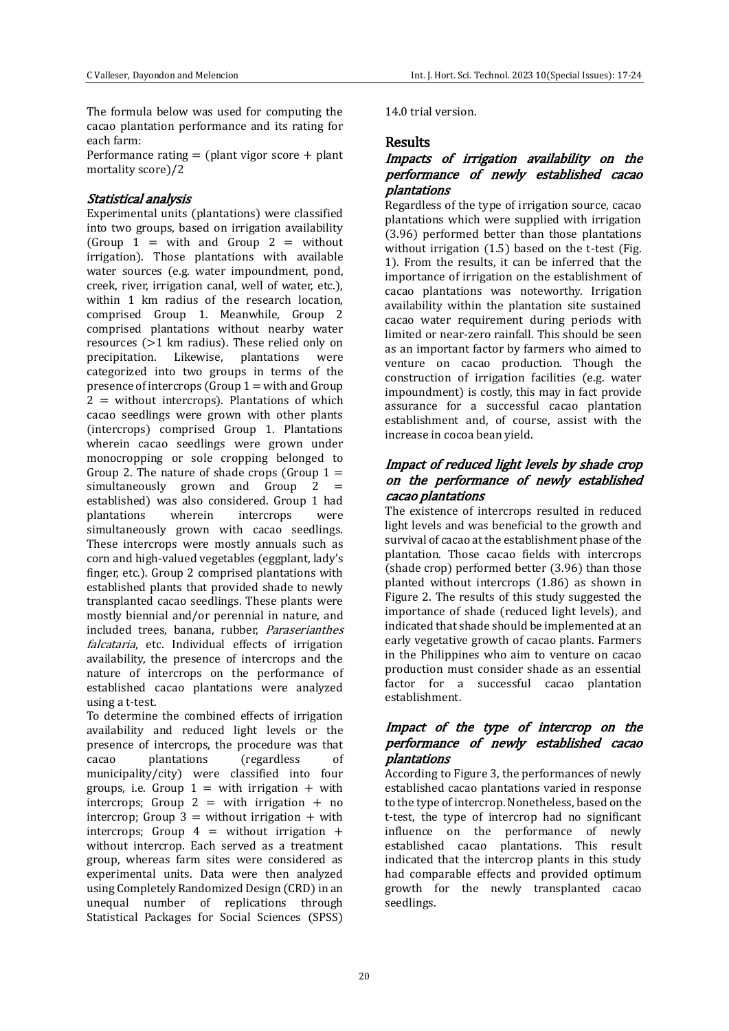The formula below was used for computing the cacao plantation performance and its rating for each farm:

Performance rating  $=$  (plant vigor score  $+$  plant mortality score)/2

#### Statistical analysis

Experimental units (plantations) were classified into two groups, based on irrigation availability (Group  $1 =$  with and Group  $2 =$  without irrigation). Those plantations with available water sources (e.g. water impoundment, pond, creek, river, irrigation canal, well of water, etc.), within 1 km radius of the research location, comprised Group 1. Meanwhile, Group 2 comprised plantations without nearby water resources (>1 km radius). These relied only on precipitation. Likewise, plantations were categorized into two groups in terms of the presence of intercrops (Group  $1 =$  with and Group  $2 =$  without intercrops). Plantations of which cacao seedlings were grown with other plants (intercrops) comprised Group 1. Plantations wherein cacao seedlings were grown under monocropping or sole cropping belonged to Group 2. The nature of shade crops (Group  $1 =$ simultaneously grown and Group  $2 =$ established) was also considered. Group 1 had plantations wherein intercrops were simultaneously grown with cacao seedlings. These intercrops were mostly annuals such as corn and high-valued vegetables (eggplant, lady's finger, etc.). Group 2 comprised plantations with established plants that provided shade to newly transplanted cacao seedlings. These plants were mostly biennial and/or perennial in nature, and included trees, banana, rubber, Paraserianthes falcataria, etc. Individual effects of irrigation availability, the presence of intercrops and the nature of intercrops on the performance of established cacao plantations were analyzed using a t-test.

To determine the combined effects of irrigation availability and reduced light levels or the presence of intercrops, the procedure was that cacao plantations (regardless of municipality/city) were classified into four groups, i.e. Group  $1 =$  with irrigation  $+$  with intercrops; Group  $2 =$  with irrigation  $+$  no intercrop; Group  $3 =$  without irrigation  $+$  with intercrops; Group  $4 =$  without irrigation  $+$ without intercrop. Each served as a treatment group, whereas farm sites were considered as experimental units. Data were then analyzed using Completely Randomized Design (CRD) in an unequal number of replications through Statistical Packages for Social Sciences (SPSS)

14.0 trial version.

### **Results**

## Impacts of irrigation availability on the performance of newly established cacao plantations

Regardless of the type of irrigation source, cacao plantations which were supplied with irrigation (3.96) performed better than those plantations without irrigation (1.5) based on the t-test (Fig. 1). From the results, it can be inferred that the importance of irrigation on the establishment of cacao plantations was noteworthy. Irrigation availability within the plantation site sustained cacao water requirement during periods with limited or near-zero rainfall. This should be seen as an important factor by farmers who aimed to venture on cacao production. Though the construction of irrigation facilities (e.g. water impoundment) is costly, this may in fact provide assurance for a successful cacao plantation establishment and, of course, assist with the increase in cocoa bean yield.

# Impact of reduced light levels by shade crop on the performance of newly established cacao plantations

The existence of intercrops resulted in reduced light levels and was beneficial to the growth and survival of cacao at the establishment phase of the plantation. Those cacao fields with intercrops (shade crop) performed better (3.96) than those planted without intercrops (1.86) as shown in Figure 2. The results of this study suggested the importance of shade (reduced light levels), and indicated that shade should be implemented at an early vegetative growth of cacao plants. Farmers in the Philippines who aim to venture on cacao production must consider shade as an essential factor for a successful cacao plantation establishment.

# Impact of the type of intercrop on the performance of newly established cacao plantations

According to Figure 3, the performances of newly established cacao plantations varied in response to the type of intercrop. Nonetheless, based on the t-test, the type of intercrop had no significant influence on the performance of newly established cacao plantations. This result indicated that the intercrop plants in this study had comparable effects and provided optimum growth for the newly transplanted cacao seedlings.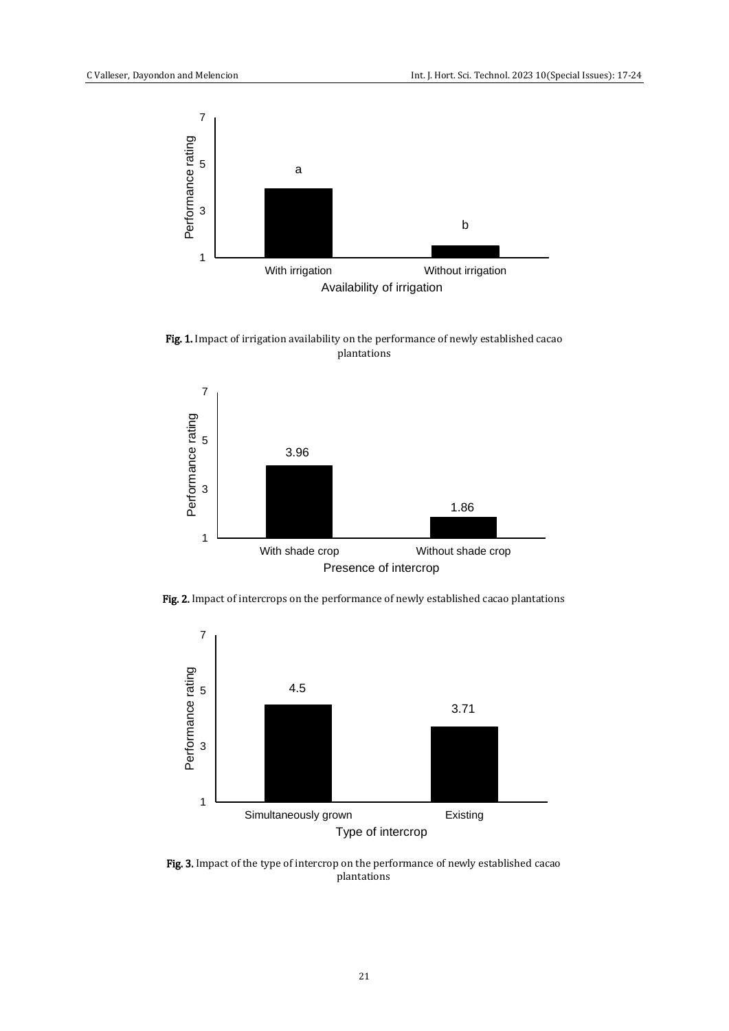

Fig. 1. Impact of irrigation availability on the performance of newly established cacao plantations



Fig. 2. Impact of intercrops on the performance of newly established cacao plantations



Fig. 3. Impact of the type of intercrop on the performance of newly established cacao plantations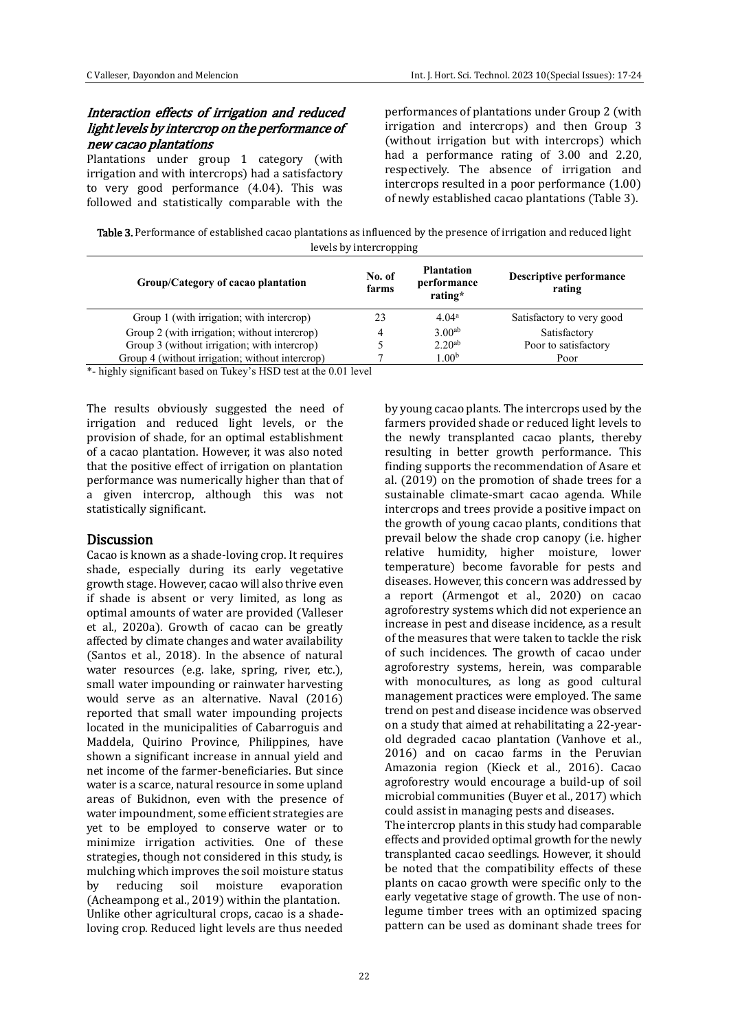# Interaction effects of irrigation and reduced light levels by intercrop on the performance of new cacao plantations

Plantations under group 1 category (with irrigation and with intercrops) had a satisfactory to very good performance (4.04). This was followed and statistically comparable with the

performances of plantations under Group 2 (with irrigation and intercrops) and then Group 3 (without irrigation but with intercrops) which had a performance rating of 3.00 and 2.20, respectively. The absence of irrigation and intercrops resulted in a poor performance (1.00) of newly established cacao plantations (Table 3).

Table 3. Performance of established cacao plantations as influenced by the presence of irrigation and reduced light levels by intercropping

| Group/Category of cacao plantation              | No. of<br>farms | <b>Plantation</b><br>performance<br>rating* | <b>Descriptive performance</b><br>rating |
|-------------------------------------------------|-----------------|---------------------------------------------|------------------------------------------|
| Group 1 (with irrigation; with intercrop)       |                 | 4.04 <sup>a</sup>                           | Satisfactory to very good                |
| Group 2 (with irrigation; without intercrop)    | 4               | 3.00 <sup>ab</sup>                          | Satisfactory                             |
| Group 3 (without irrigation; with intercrop)    |                 | $2.20^{ab}$                                 | Poor to satisfactory                     |
| Group 4 (without irrigation; without intercrop) |                 | $1.00^{\rm b}$                              | Poor                                     |

\*- highly significant based on Tukey's HSD test at the 0.01 level

The results obviously suggested the need of irrigation and reduced light levels, or the provision of shade, for an optimal establishment of a cacao plantation. However, it was also noted that the positive effect of irrigation on plantation performance was numerically higher than that of a given intercrop, although this was not statistically significant.

#### **Discussion**

Cacao is known as a shade-loving crop. It requires shade, especially during its early vegetative growth stage. However, cacao will also thrive even if shade is absent or very limited, as long as optimal amounts of water are provided (Valleser et al., 2020a). Growth of cacao can be greatly affected by climate changes and water availability (Santos et al., 2018). In the absence of natural water resources (e.g. lake, spring, river, etc.), small water impounding or rainwater harvesting would serve as an alternative. Naval (2016) reported that small water impounding projects located in the municipalities of Cabarroguis and Maddela, Quirino Province, Philippines, have shown a significant increase in annual yield and net income of the farmer-beneficiaries. But since water is a scarce, natural resource in some upland areas of Bukidnon, even with the presence of water impoundment, some efficient strategies are yet to be employed to conserve water or to minimize irrigation activities. One of these strategies, though not considered in this study, is mulching which improves the soil moisture status by reducing soil moisture evaporation (Acheampong et al., 2019) within the plantation. Unlike other agricultural crops, cacao is a shadeloving crop. Reduced light levels are thus needed by young cacao plants. The intercrops used by the farmers provided shade or reduced light levels to the newly transplanted cacao plants, thereby resulting in better growth performance. This finding supports the recommendation of Asare et al. (2019) on the promotion of shade trees for a sustainable climate-smart cacao agenda. While intercrops and trees provide a positive impact on the growth of young cacao plants, conditions that prevail below the shade crop canopy (i.e. higher relative humidity, higher moisture, lower temperature) become favorable for pests and diseases. However, this concern was addressed by a report (Armengot et al., 2020) on cacao agroforestry systems which did not experience an increase in pest and disease incidence, as a result of the measures that were taken to tackle the risk of such incidences. The growth of cacao under agroforestry systems, herein, was comparable with monocultures, as long as good cultural management practices were employed. The same trend on pest and disease incidence was observed on a study that aimed at rehabilitating a 22-yearold degraded cacao plantation (Vanhove et al., 2016) and on cacao farms in the Peruvian Amazonia region (Kieck et al., 2016). Cacao agroforestry would encourage a build-up of soil microbial communities (Buyer et al., 2017) which could assist in managing pests and diseases.

The intercrop plants in this study had comparable effects and provided optimal growth for the newly transplanted cacao seedlings. However, it should be noted that the compatibility effects of these plants on cacao growth were specific only to the early vegetative stage of growth. The use of nonlegume timber trees with an optimized spacing pattern can be used as dominant shade trees for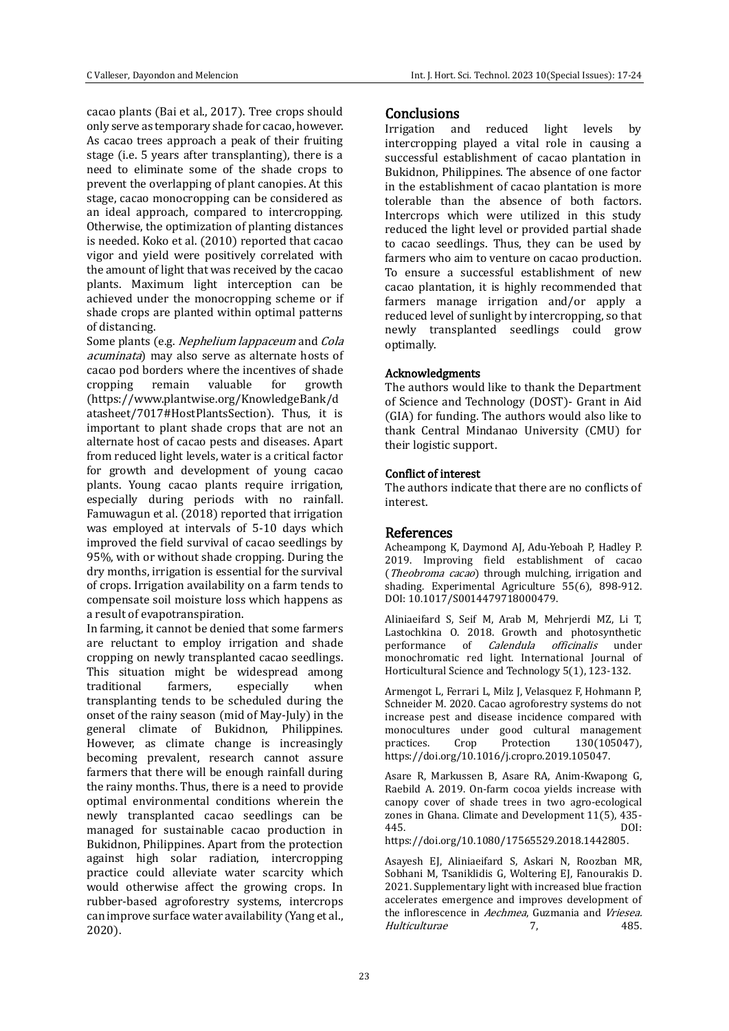cacao plants (Bai et al., 2017). Tree crops should only serve as temporary shade for cacao, however. As cacao trees approach a peak of their fruiting stage (i.e. 5 years after transplanting), there is a need to eliminate some of the shade crops to prevent the overlapping of plant canopies. At this stage, cacao monocropping can be considered as an ideal approach, compared to intercropping. Otherwise, the optimization of planting distances is needed. Koko et al. (2010) reported that cacao vigor and yield were positively correlated with the amount of light that was received by the cacao plants. Maximum light interception can be achieved under the monocropping scheme or if shade crops are planted within optimal patterns of distancing.

Some plants (e.g. Nephelium lappaceum and Cola acuminata) may also serve as alternate hosts of cacao pod borders where the incentives of shade cropping remain valuable for growth (https://www.plantwise.org/KnowledgeBank/d atasheet/7017#HostPlantsSection). Thus, it is important to plant shade crops that are not an alternate host of cacao pests and diseases. Apart from reduced light levels, water is a critical factor for growth and development of young cacao plants. Young cacao plants require irrigation, especially during periods with no rainfall. Famuwagun et al. (2018) reported that irrigation was employed at intervals of 5-10 days which improved the field survival of cacao seedlings by 95%, with or without shade cropping. During the dry months, irrigation is essential for the survival of crops. Irrigation availability on a farm tends to compensate soil moisture loss which happens as a result of evapotranspiration.

In farming, it cannot be denied that some farmers are reluctant to employ irrigation and shade cropping on newly transplanted cacao seedlings. This situation might be widespread among traditional farmers, especially when transplanting tends to be scheduled during the onset of the rainy season (mid of May-July) in the general climate of Bukidnon, Philippines. However, as climate change is increasingly becoming prevalent, research cannot assure farmers that there will be enough rainfall during the rainy months. Thus, there is a need to provide optimal environmental conditions wherein the newly transplanted cacao seedlings can be managed for sustainable cacao production in Bukidnon, Philippines. Apart from the protection against high solar radiation, intercropping practice could alleviate water scarcity which would otherwise affect the growing crops. In rubber-based agroforestry systems, intercrops can improve surface water availability (Yang et al., 2020).

# **Conclusions**

Irrigation and reduced light levels by intercropping played a vital role in causing a successful establishment of cacao plantation in Bukidnon, Philippines. The absence of one factor in the establishment of cacao plantation is more tolerable than the absence of both factors. Intercrops which were utilized in this study reduced the light level or provided partial shade to cacao seedlings. Thus, they can be used by farmers who aim to venture on cacao production. To ensure a successful establishment of new cacao plantation, it is highly recommended that farmers manage irrigation and/or apply a reduced level of sunlight by intercropping, so that newly transplanted seedlings could grow optimally.

#### Acknowledgments

The authors would like to thank the Department of Science and Technology (DOST)- Grant in Aid (GIA) for funding. The authors would also like to thank Central Mindanao University (CMU) for their logistic support.

#### Conflict of interest

The authors indicate that there are no conflicts of interest.

### References

Acheampong K, Daymond AJ, Adu-Yeboah P, Hadley P. 2019. Improving field establishment of cacao (*Theobroma cacao*) through mulching, irrigation and shading. Experimental Agriculture 55(6), 898-912. DOI: 10.1017/S0014479718000479.

Aliniaeifard S, Seif M, Arab M, Mehrjerdi MZ, Li T, Lastochkina O. 2018. Growth and photosynthetic performance of Calendula officinalis under monochromatic red light. International Journal of Horticultural Science and Technology 5(1), 123-132.

Armengot L, Ferrari L, Milz J, Velasquez F, Hohmann P, Schneider M. 2020. Cacao agroforestry systems do not increase pest and disease incidence compared with monocultures under good cultural management practices. Crop Protection 130(105047), https://doi.org/10.1016/j.cropro.2019.105047.

Asare R, Markussen B, Asare RA, Anim-Kwapong G, Raebild A. 2019. On-farm cocoa yields increase with canopy cover of shade trees in two agro-ecological zones in Ghana. Climate and Development 11(5), 435- 445. DOI:

https://doi.org/10.1080/17565529.2018.1442805.

Asayesh EJ, Aliniaeifard S, Askari N, Roozban MR, Sobhani M, Tsaniklidis G, Woltering EJ, Fanourakis D. 2021. Supplementary light with increased blue fraction accelerates emergence and improves development of the inflorescence in Aechmea, Guzmania and Vriesea. Hulticulturae 7, 485.